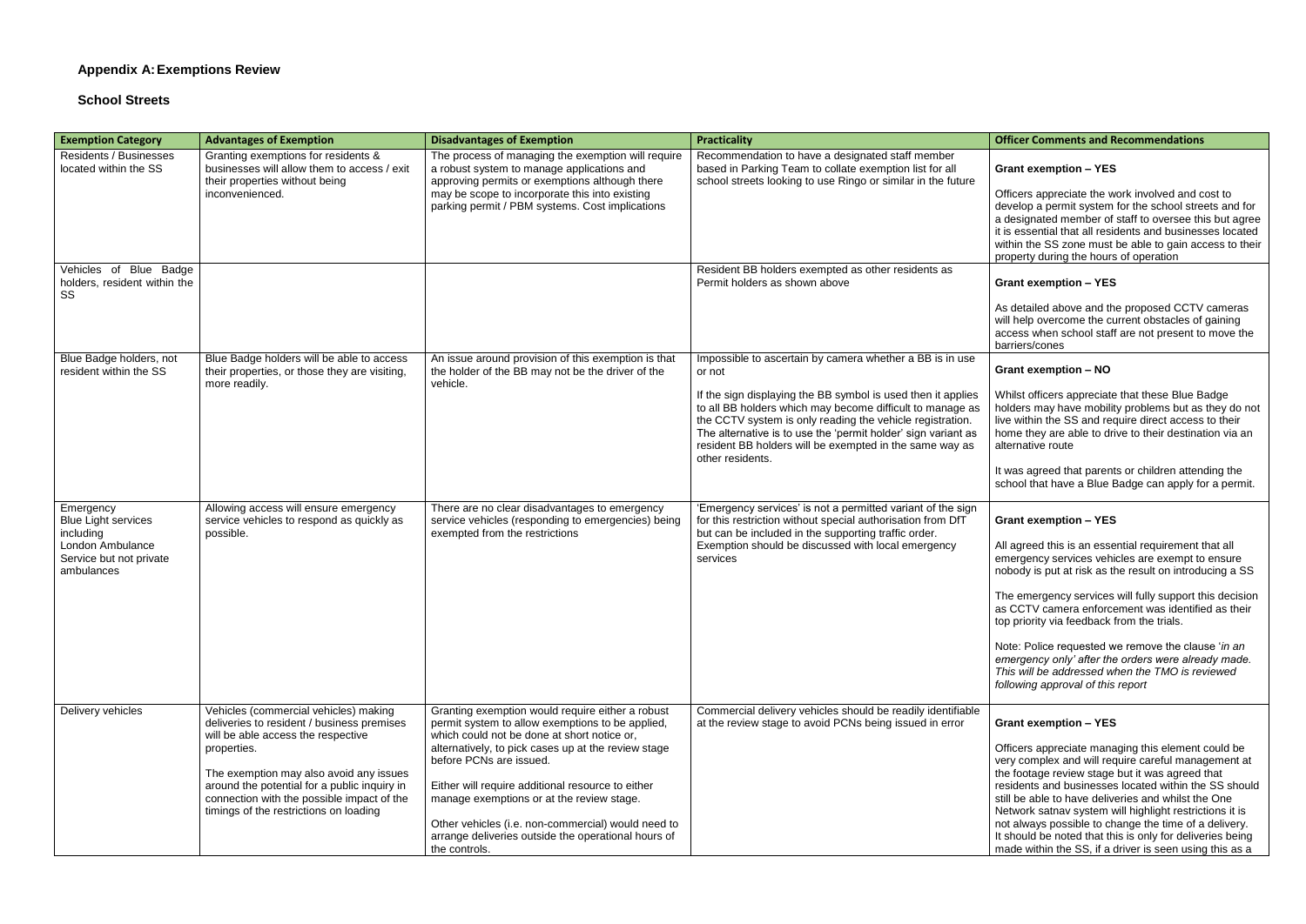# **Appendix A:Exemptions Review**

# **School Streets**

#### **Grant exemption – YES**

Officers appreciate the work involved and cost to develop a permit system for the school streets and for a designated member of staff to oversee this but agree it is essential that all residents and businesses located within the SS zone must be able to gain access to their property during the hours of operation

# Permit holders as shown above **Grant exemption – YES**

As detailed above and the proposed CCTV cameras will help overcome the current obstacles of gaining access when school staff are not present to move the barriers/cones

#### **Grant exemption – NO**

Whilst officers appreciate that these Blue Badge holders may have mobility problems but as they do not live within the SS and require direct access to their home they are able to drive to their destination via an alternative route

| <b>Exemption Category</b>                                                                                         | <b>Advantages of Exemption</b>                                                                                                                                                                                                                                                                                              | <b>Disadvantages of Exemption</b>                                                                                                                                                                                                                                                                                                                                                                                                                                     | <b>Practicality</b>                                                                                                                                                                                                                                                                                                                                                                                          |
|-------------------------------------------------------------------------------------------------------------------|-----------------------------------------------------------------------------------------------------------------------------------------------------------------------------------------------------------------------------------------------------------------------------------------------------------------------------|-----------------------------------------------------------------------------------------------------------------------------------------------------------------------------------------------------------------------------------------------------------------------------------------------------------------------------------------------------------------------------------------------------------------------------------------------------------------------|--------------------------------------------------------------------------------------------------------------------------------------------------------------------------------------------------------------------------------------------------------------------------------------------------------------------------------------------------------------------------------------------------------------|
| Residents / Businesses<br>located within the SS                                                                   | Granting exemptions for residents &<br>businesses will allow them to access / exit<br>their properties without being<br>inconvenienced.                                                                                                                                                                                     | The process of managing the exemption will require<br>a robust system to manage applications and<br>approving permits or exemptions although there<br>may be scope to incorporate this into existing<br>parking permit / PBM systems. Cost implications                                                                                                                                                                                                               | Recommendation to have a designated staff member<br>based in Parking Team to collate exemption list for all<br>school streets looking to use Ringo or similar in the future                                                                                                                                                                                                                                  |
| Vehicles of Blue Badge<br>holders, resident within the<br>SS                                                      |                                                                                                                                                                                                                                                                                                                             |                                                                                                                                                                                                                                                                                                                                                                                                                                                                       | Resident BB holders exempted as other residents as<br>Permit holders as shown above                                                                                                                                                                                                                                                                                                                          |
| Blue Badge holders, not<br>resident within the SS                                                                 | Blue Badge holders will be able to access<br>their properties, or those they are visiting,<br>more readily.                                                                                                                                                                                                                 | An issue around provision of this exemption is that<br>the holder of the BB may not be the driver of the<br>vehicle.                                                                                                                                                                                                                                                                                                                                                  | Impossible to ascertain by camera whether a BB is in use<br>or not<br>If the sign displaying the BB symbol is used then it applies<br>to all BB holders which may become difficult to manage as<br>the CCTV system is only reading the vehicle registration.<br>The alternative is to use the 'permit holder' sign variant as<br>resident BB holders will be exempted in the same way as<br>other residents. |
| Emergency<br><b>Blue Light services</b><br>including<br>London Ambulance<br>Service but not private<br>ambulances | Allowing access will ensure emergency<br>service vehicles to respond as quickly as<br>possible.                                                                                                                                                                                                                             | There are no clear disadvantages to emergency<br>service vehicles (responding to emergencies) being<br>exempted from the restrictions                                                                                                                                                                                                                                                                                                                                 | 'Emergency services' is not a permitted variant of the sign<br>for this restriction without special authorisation from DfT<br>but can be included in the supporting traffic order.<br>Exemption should be discussed with local emergency<br>services                                                                                                                                                         |
| Delivery vehicles                                                                                                 | Vehicles (commercial vehicles) making<br>deliveries to resident / business premises<br>will be able access the respective<br>properties.<br>The exemption may also avoid any issues<br>around the potential for a public inquiry in<br>connection with the possible impact of the<br>timings of the restrictions on loading | Granting exemption would require either a robust<br>permit system to allow exemptions to be applied,<br>which could not be done at short notice or,<br>alternatively, to pick cases up at the review stage<br>before PCNs are issued.<br>Either will require additional resource to either<br>manage exemptions or at the review stage.<br>Other vehicles (i.e. non-commercial) would need to<br>arrange deliveries outside the operational hours of<br>the controls. | Commercial delivery vehicles should be readily identifiable<br>at the review stage to avoid PCNs being issued in error                                                                                                                                                                                                                                                                                       |

### **Officer Comments and Recommendations**

It was agreed that parents or children attending the school that have a Blue Badge can apply for a permit.

#### **Grant exemption – YES**

All agreed this is an essential requirement that all emergency services vehicles are exempt to ensure nobody is put at risk as the result on introducing a SS

The emergency services will fully support this decision as CCTV camera enforcement was identified as their top priority via feedback from the trials.

Note: Police requested we remove the clause '*in an emergency only' after the orders were already made. This will be addressed when the TMO is reviewed following approval of this report*

#### Grant exemption – YES

Officers appreciate managing this element could be very complex and will require careful management at the footage review stage but it was agreed that residents and businesses located within the SS should still be able to have deliveries and whilst the One Network satnav system will highlight restrictions it is not always possible to change the time of a delivery. It should be noted that this is only for deliveries being made within the SS, if a driver is seen using this as a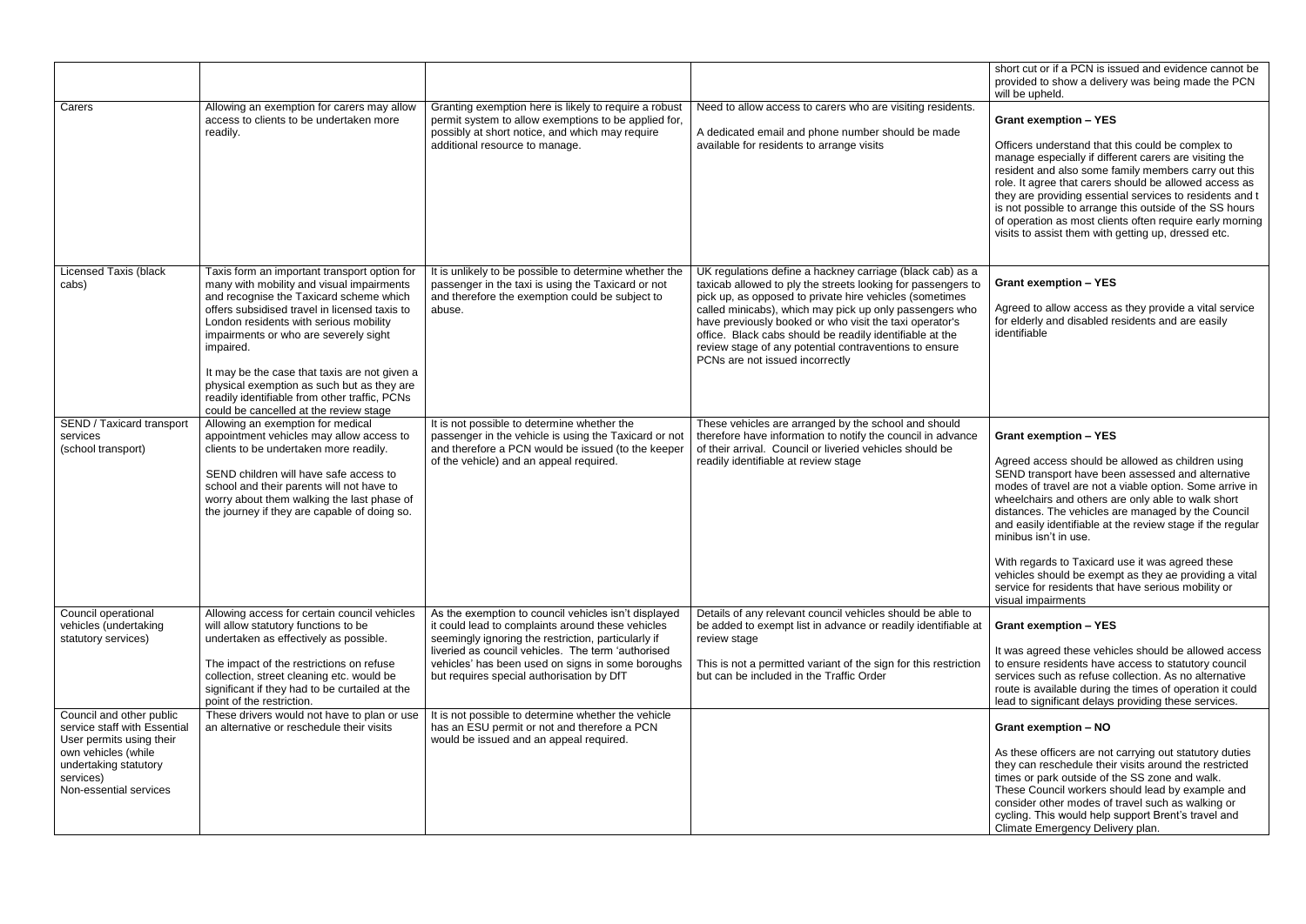short cut or if a PCN is issued and evidence cannot be provided to show a delivery was being made the PCN will be upheld.

# **Grant exemption – YES**

Officers understand that this could be complex to manage especially if different carers are visiting the resident and also some family members carry out this role. It agree that carers should be allowed access as they are providing essential services to residents and t is not possible to arrange this outside of the SS hours of operation as most clients often require early morning visits to assist them with getting up, dressed etc.

# **Grant exemption – YES**

Agreed to allow access as they provide a vital service for elderly and disabled residents and are easily identifiable

| Carers                                                                                                                                                                      | Allowing an exemption for carers may allow<br>access to clients to be undertaken more<br>readily.                                                                                                                                                                                                                                                                                                                                                                               | Granting exemption here is likely to require a robust<br>permit system to allow exemptions to be applied for,<br>possibly at short notice, and which may require<br>additional resource to manage.                                                                                                                       | Need to allow access to carers who are visiting residents.<br>A dedicated email and phone number should be made<br>available for residents to arrange visits                                                                                                                                                                                                                                                                                                        |
|-----------------------------------------------------------------------------------------------------------------------------------------------------------------------------|---------------------------------------------------------------------------------------------------------------------------------------------------------------------------------------------------------------------------------------------------------------------------------------------------------------------------------------------------------------------------------------------------------------------------------------------------------------------------------|--------------------------------------------------------------------------------------------------------------------------------------------------------------------------------------------------------------------------------------------------------------------------------------------------------------------------|---------------------------------------------------------------------------------------------------------------------------------------------------------------------------------------------------------------------------------------------------------------------------------------------------------------------------------------------------------------------------------------------------------------------------------------------------------------------|
| <b>Licensed Taxis (black</b><br>cabs)                                                                                                                                       | Taxis form an important transport option for<br>many with mobility and visual impairments<br>and recognise the Taxicard scheme which<br>offers subsidised travel in licensed taxis to<br>London residents with serious mobility<br>impairments or who are severely sight<br>impaired.<br>It may be the case that taxis are not given a<br>physical exemption as such but as they are<br>readily identifiable from other traffic, PCNs<br>could be cancelled at the review stage | It is unlikely to be possible to determine whether the<br>passenger in the taxi is using the Taxicard or not<br>and therefore the exemption could be subject to<br>abuse.                                                                                                                                                | UK regulations define a hackney carriage (black cab) as a<br>taxicab allowed to ply the streets looking for passengers to<br>pick up, as opposed to private hire vehicles (sometimes<br>called minicabs), which may pick up only passengers who<br>have previously booked or who visit the taxi operator's<br>office. Black cabs should be readily identifiable at the<br>review stage of any potential contraventions to ensure<br>PCNs are not issued incorrectly |
| SEND / Taxicard transport<br>services<br>(school transport)                                                                                                                 | Allowing an exemption for medical<br>appointment vehicles may allow access to<br>clients to be undertaken more readily.<br>SEND children will have safe access to<br>school and their parents will not have to<br>worry about them walking the last phase of<br>the journey if they are capable of doing so.                                                                                                                                                                    | It is not possible to determine whether the<br>passenger in the vehicle is using the Taxicard or not<br>and therefore a PCN would be issued (to the keeper<br>of the vehicle) and an appeal required.                                                                                                                    | These vehicles are arranged by the school and should<br>therefore have information to notify the council in advance<br>of their arrival. Council or liveried vehicles should be<br>readily identifiable at review stage                                                                                                                                                                                                                                             |
| Council operational<br>vehicles (undertaking<br>statutory services)                                                                                                         | Allowing access for certain council vehicles<br>will allow statutory functions to be<br>undertaken as effectively as possible.<br>The impact of the restrictions on refuse<br>collection, street cleaning etc. would be<br>significant if they had to be curtailed at the<br>point of the restriction.                                                                                                                                                                          | As the exemption to council vehicles isn't displayed<br>it could lead to complaints around these vehicles<br>seemingly ignoring the restriction, particularly if<br>liveried as council vehicles. The term 'authorised<br>vehicles' has been used on signs in some boroughs<br>but requires special authorisation by DfT | Details of any relevant council vehicles should be able to<br>be added to exempt list in advance or readily identifiable at<br>review stage<br>This is not a permitted variant of the sign for this restriction<br>but can be included in the Traffic Order                                                                                                                                                                                                         |
| Council and other public<br>service staff with Essential<br>User permits using their<br>own vehicles (while<br>undertaking statutory<br>services)<br>Non-essential services | These drivers would not have to plan or use<br>an alternative or reschedule their visits                                                                                                                                                                                                                                                                                                                                                                                        | It is not possible to determine whether the vehicle<br>has an ESU permit or not and therefore a PCN<br>would be issued and an appeal required.                                                                                                                                                                           |                                                                                                                                                                                                                                                                                                                                                                                                                                                                     |

# **Grant exemption – YES**

Agreed access should be allowed as children using SEND transport have been assessed and alternative modes of travel are not a viable option. Some arrive in wheelchairs and others are only able to walk short distances. The vehicles are managed by the Council and easily identifiable at the review stage if the regular minibus isn't in use.

With regards to Taxicard use it was agreed these vehicles should be exempt as they ae providing a vital service for residents that have serious mobility or visual impairments

#### **Grant exemption – YES**

It was agreed these vehicles should be allowed access to ensure residents have access to statutory council services such as refuse collection. As no alternative route is available during the times of operation it could lead to significant delays providing these services.

## **Grant exemption – NO**

As these officers are not carrying out statutory duties they can reschedule their visits around the restricted times or park outside of the SS zone and walk. These Council workers should lead by example and consider other modes of travel such as walking or cycling. This would help support Brent's travel and Climate Emergency Delivery plan.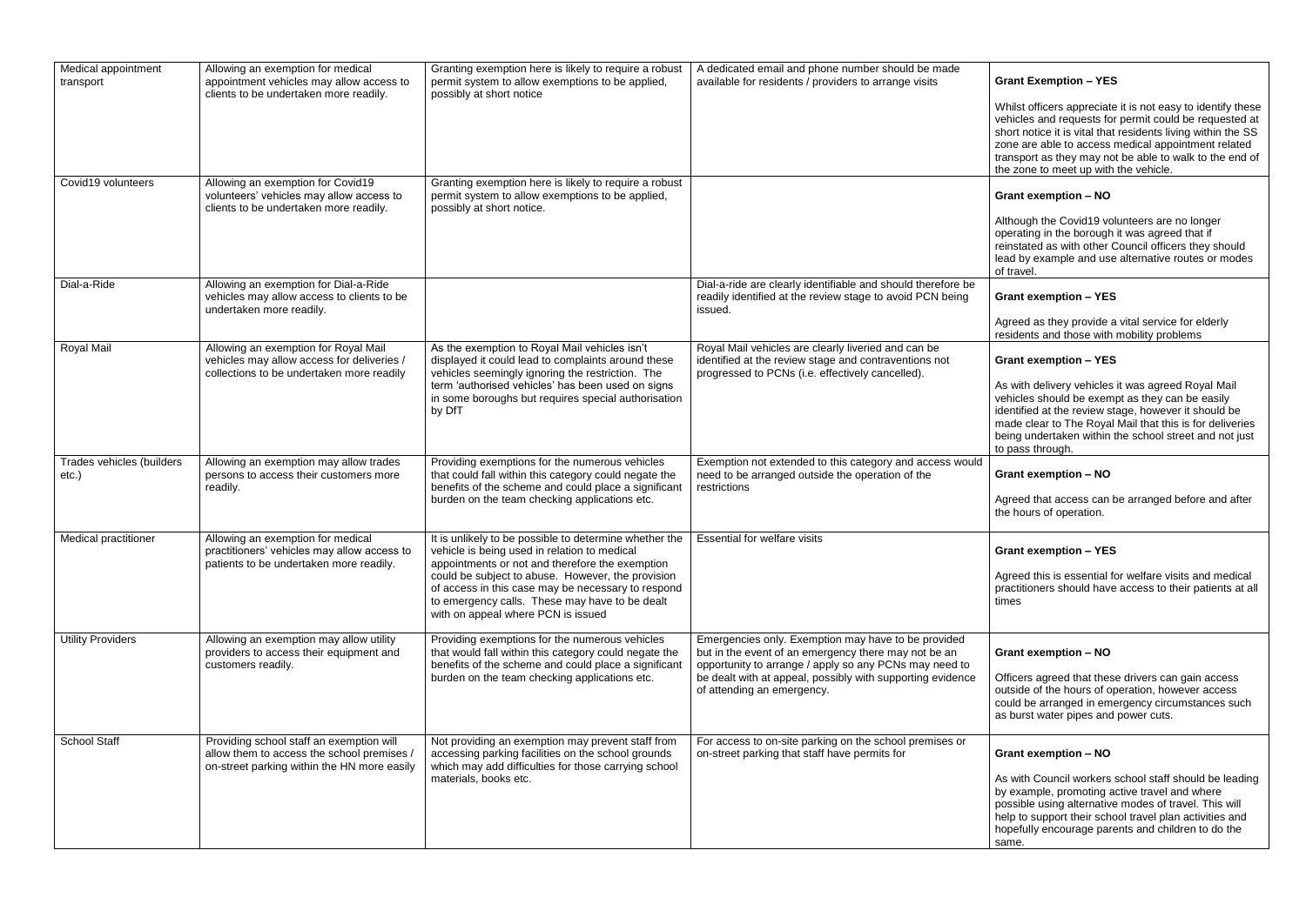Whilst officers appreciate it is not easy to identify these vehicles and requests for permit could be requested at short notice it is vital that residents living within the SS zone are able to access medical appointment related transport as they may not be able to walk to the end of the zone to meet up with the vehicle.

# **Grant exemption – NO**

Although the Covid19 volunteers are no longer operating in the borough it was agreed that if reinstated as with other Council officers they should lead by example and use alternative routes or modes of travel.

# **Grant exemption – YES**

Agreed as they provide a vital service for elderly residents and those with mobility problems

# **Grant exemption – YES**

As with delivery vehicles it was agreed Royal Mail vehicles should be exempt as they can be easily identified at the review stage, however it should be made clear to The Royal Mail that this is for deliveries being undertaken within the school street and not just to pass through.

| Medical appointment<br>transport   | Allowing an exemption for medical<br>appointment vehicles may allow access to<br>clients to be undertaken more readily.               | Granting exemption here is likely to require a robust<br>permit system to allow exemptions to be applied,<br>possibly at short notice                                                                                                                                                                                                                        | A dedicated email and phone number should be made<br>available for residents / providers to arrange visits                                                                                                                                                        |
|------------------------------------|---------------------------------------------------------------------------------------------------------------------------------------|--------------------------------------------------------------------------------------------------------------------------------------------------------------------------------------------------------------------------------------------------------------------------------------------------------------------------------------------------------------|-------------------------------------------------------------------------------------------------------------------------------------------------------------------------------------------------------------------------------------------------------------------|
| Covid19 volunteers                 | Allowing an exemption for Covid19<br>volunteers' vehicles may allow access to<br>clients to be undertaken more readily.               | Granting exemption here is likely to require a robust<br>permit system to allow exemptions to be applied,<br>possibly at short notice.                                                                                                                                                                                                                       |                                                                                                                                                                                                                                                                   |
| Dial-a-Ride                        | Allowing an exemption for Dial-a-Ride<br>vehicles may allow access to clients to be<br>undertaken more readily.                       |                                                                                                                                                                                                                                                                                                                                                              | Dial-a-ride are clearly identifiable and should therefore be<br>readily identified at the review stage to avoid PCN being<br>issued.                                                                                                                              |
| Royal Mail                         | Allowing an exemption for Royal Mail<br>vehicles may allow access for deliveries /<br>collections to be undertaken more readily       | As the exemption to Royal Mail vehicles isn't<br>displayed it could lead to complaints around these<br>vehicles seemingly ignoring the restriction. The<br>term 'authorised vehicles' has been used on signs<br>in some boroughs but requires special authorisation<br>by DfT                                                                                | Royal Mail vehicles are clearly liveried and can be<br>identified at the review stage and contraventions not<br>progressed to PCNs (i.e. effectively cancelled).                                                                                                  |
| Trades vehicles (builders<br>etc.) | Allowing an exemption may allow trades<br>persons to access their customers more<br>readily.                                          | Providing exemptions for the numerous vehicles<br>that could fall within this category could negate the<br>benefits of the scheme and could place a significant<br>burden on the team checking applications etc.                                                                                                                                             | Exemption not extended to this category and access would<br>need to be arranged outside the operation of the<br>restrictions                                                                                                                                      |
| Medical practitioner               | Allowing an exemption for medical<br>practitioners' vehicles may allow access to<br>patients to be undertaken more readily.           | It is unlikely to be possible to determine whether the<br>vehicle is being used in relation to medical<br>appointments or not and therefore the exemption<br>could be subject to abuse. However, the provision<br>of access in this case may be necessary to respond<br>to emergency calls. These may have to be dealt<br>with on appeal where PCN is issued | <b>Essential for welfare visits</b>                                                                                                                                                                                                                               |
| <b>Utility Providers</b>           | Allowing an exemption may allow utility<br>providers to access their equipment and<br>customers readily.                              | Providing exemptions for the numerous vehicles<br>that would fall within this category could negate the<br>benefits of the scheme and could place a significant<br>burden on the team checking applications etc.                                                                                                                                             | Emergencies only. Exemption may have to be provided<br>but in the event of an emergency there may not be an<br>opportunity to arrange / apply so any PCNs may need to<br>be dealt with at appeal, possibly with supporting evidence<br>of attending an emergency. |
| <b>School Staff</b>                | Providing school staff an exemption will<br>allow them to access the school premises /<br>on-street parking within the HN more easily | Not providing an exemption may prevent staff from<br>accessing parking facilities on the school grounds<br>which may add difficulties for those carrying school<br>materials, books etc.                                                                                                                                                                     | For access to on-site parking on the school premises or<br>on-street parking that staff have permits for                                                                                                                                                          |

# **Grant Exemption – YES**

#### **Grant exemption – NO**

Agreed that access can be arranged before and after the hours of operation.

# **Grant exemption – YES**

Agreed this is essential for welfare visits and medical practitioners should have access to their patients at all times

### **Grant exemption – NO**

Officers agreed that these drivers can gain access outside of the hours of operation, however access could be arranged in emergency circumstances such as burst water pipes and power cuts.

### Grant exemption – NO

As with Council workers school staff should be leading by example, promoting active travel and where possible using alternative modes of travel. This will help to support their school travel plan activities and hopefully encourage parents and children to do the same.